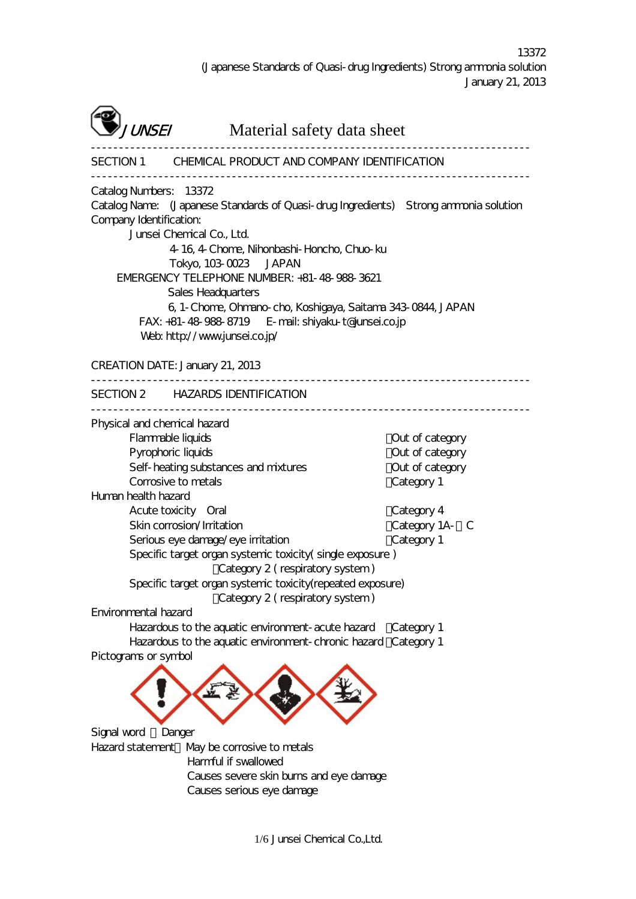------------------------------------------------------------------------------



UNSEI Material safety data sheet

------------------------------------------------------------------------------

SECTION 1 CHEMICAL PRODUCT AND COMPANY IDENTIFICATION

Catalog Numbers: 13372

Catalog Name: (Japanese Standards of Quasi-drug Ingredients) Strong ammonia solution Company Identification:

Junsei Chemical Co., Ltd.

4-16, 4-Chome, Nihonbashi-Honcho, Chuo-ku

Tokyo, 103-0023 JAPAN EMERGENCY TELEPHONE NUMBER: +81-48-988-3621

Sales Headquarters

6, 1-Chome, Ohmano-cho, Koshigaya, Saitama 343-0844, JAPAN FAX: +81-48-988-8719 E-mail: shiyaku-t@junsei.co.jp Web: http://www.junsei.co.jp/

CREATION DATE: January 21, 2013

------------------------------------------------------------------------------ SECTION 2 HAZARDS IDENTIFICATION

------------------------------------------------------------------------------

Category 2 ( respiratory system )

Category 2 ( respiratory system )

Physical and chemical hazard

Flammable liquids : Out of category Pyrophoric liquids : Out of category Self-heating substances and mixtures : Out of category Corrosive to metals Category 1 Human health hazard Acute toxicity Oral intervals and the Category 4

Skin corrosion/Irritation : Category 1A-1 C Serious eye damage/eye irritation : Category 1 Specific target organ systemic toxicity( single exposure )

Environmental hazard

Hazardous to the aquatic environment-acute hazard Category 1 Hazardous to the aquatic environment-chronic hazard Category 1 Pictograms or symbol

Specific target organ systemic toxicity(repeated exposure)



Signal word : Danger Hazard statement May be corrosive to metals Harmful if swallowed Causes severe skin burns and eye damage

Causes serious eye damage

1/6 Junsei Chemical Co.,Ltd.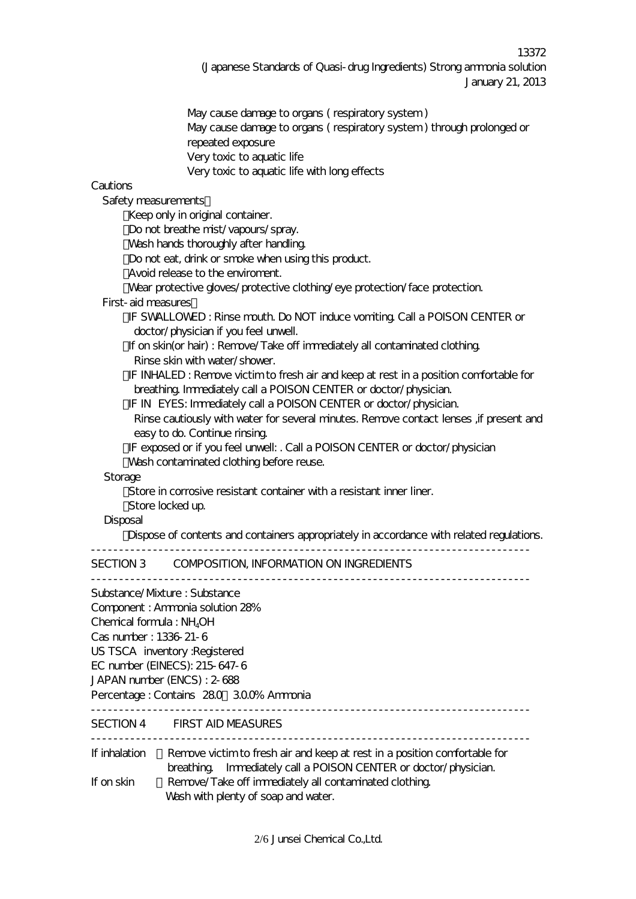13372 (Japanese Standards of Quasi-drug Ingredients) Strong ammonia solution January 21, 2013

May cause damage to organs ( respiratory system ) May cause damage to organs ( respiratory system ) through prolonged or repeated exposure Very toxic to aquatic life Very toxic to aquatic life with long effects

## Cautions

Safety measurements:

Keep only in original container.

Do not breathe mist/vapours/spray.

Wash hands thoroughly after handling.

Do not eat, drink or smoke when using this product.

Avoid release to the enviroment.

Wear protective gloves/protective clothing/eye protection/face protection.

#### First-aid measures:

・IF SWALLOWED : Rinse mouth. Do NOT induce vomiting. Call a POISON CENTER or doctor/physician if you feel unwell.

If on skin(or hair) : Remove/Take off immediately all contaminated clothing. Rinse skin with water/shower.

IF INHALED : Remove victim to fresh air and keep at rest in a position comfortable for breathing. Immediately call a POISON CENTER or doctor/physician.

IF IN EYES: Immediately call a POISON CENTER or doctor/physician.

Rinse cautiously with water for several minutes. Remove contact lenses ,if present and easy to do. Continue rinsing.

IF exposed or if you feel unwell: . Call a POISON CENTER or doctor/physician Wash contaminated clothing before reuse.

### **Storage**

Store in corrosive resistant container with a resistant inner liner.

Store locked up.

#### **Disposal**

Dispose of contents and containers appropriately in accordance with related regulations.

------------------------------------------------------------------------------

# SECTION 3 COMPOSITION, INFORMATION ON INGREDIENTS

|                            | Substance/Mxture : Substance                                                                                                                 |
|----------------------------|----------------------------------------------------------------------------------------------------------------------------------------------|
|                            | Component: Ammonia solution 28%                                                                                                              |
| Chemical formula : $NH4OH$ |                                                                                                                                              |
| Cas number: 1336-21-6      |                                                                                                                                              |
|                            | US TSCA inventory : Registered                                                                                                               |
|                            | EC number (EINECS): 215-647-6                                                                                                                |
|                            | JAPAN number (ENCS): 2-688                                                                                                                   |
|                            | Percentage: Contains 280 300% Ammonia                                                                                                        |
|                            | SECTION 4 FIRST AID MEASURES                                                                                                                 |
| If inhalation              | Remove victim to fresh air and keep at rest in a position comfortable for<br>breathing Immediately call a POISON CENTER or doctor/physician. |
| If on skin                 | Remove/Take off immediately all contaminated clothing<br>Wash with plenty of soap and water.                                                 |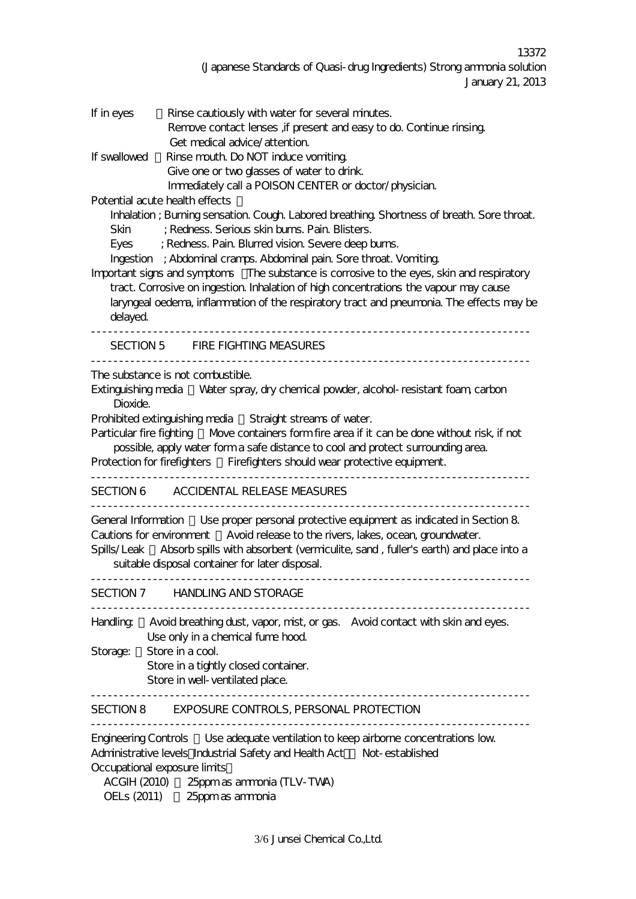13372 (Japanese Standards of Quasi-drug Ingredients) Strong ammonia solution January 21, 2013

| If in eyes   | Rinse cautiously with water for several minutes.<br>Remove contact lenses, if present and easy to do. Continue rinsing.<br>Get medical advice/attention.                                                                                                                                                                        |
|--------------|---------------------------------------------------------------------------------------------------------------------------------------------------------------------------------------------------------------------------------------------------------------------------------------------------------------------------------|
| If swallowed | Rinse mouth. Do NOT induce vomiting.<br>Give one or two glasses of water to drink.<br>Immediately call a POISON CENTER or doctor/physician.                                                                                                                                                                                     |
| Skin         | Potential acute health effects<br>Inhalation; Burning sensation. Cough. Labored breathing. Shortness of breath. Sore throat.<br>; Redness. Serious skin burns. Pain. Blisters.<br>Eyes ; Redness. Pain. Blurred vision. Severe deep burns.<br>Ingestion ; Abdominal cramps. Abdominal pain. Sore throat. Vomiting.              |
| delayed.     | Important signs and symptoms  The substance is corrosive to the eyes, skin and respiratory<br>tract. Corrosive on ingestion. Inhalation of high concentrations the vapour may cause<br>laryngeal oedema, inflammation of the respiratory tract and pneumonia. The effects may be                                                |
|              | SECTION 5 FIRE FIGHTING MEASURES                                                                                                                                                                                                                                                                                                |
| Dioxide.     | The substance is not combustible.<br>Extinguishing media Water spray, dry chemical powder, alcohol-resistant foam, carbon<br>Prohibited extinguishing media Straight streams of water.                                                                                                                                          |
|              | Particular fire fighting Move containers form fire area if it can be done without risk, if not<br>possible, apply water form a safe distance to cool and protect surrounding area.<br>Protection for firefighters Firefighters should wear protective equipment.                                                                |
|              | SECTION 6 ACCIDENTAL RELEASE MEASURES                                                                                                                                                                                                                                                                                           |
|              | General Information Use proper personal protective equipment as indicated in Section 8<br>Cautions for environment Avoid release to the rivers, lakes, ocean, groundwater.<br>Spills/Leak Absorb spills with absorbent (vermiculite, sand , fuller's earth) and place into a<br>suitable disposal container for later disposal. |
|              | SECTION 7 HANDLING AND STORAGE                                                                                                                                                                                                                                                                                                  |
|              | Handling Avoid breathing dust, vapor, mist, or gas. Avoid contact with skin and eyes.<br>Use only in a chemical fume hood.                                                                                                                                                                                                      |
| Storage:     | Store in a cool.<br>Store in a tightly closed container.<br>Store in well-ventilated place.                                                                                                                                                                                                                                     |
|              | SECTION 8 EXPOSURE CONTROLS, PERSONAL PROTECTION                                                                                                                                                                                                                                                                                |
|              | Engineering Controls Use adequate ventilation to keep airborne concentrations low<br>Administrative levels Industrial Safety and Health Act Not-established<br>Occupational exposure limits                                                                                                                                     |

ACGIH (2010) : 25ppm as ammonia (TLV-TWA) OELs (2011) 25ppm as ammonia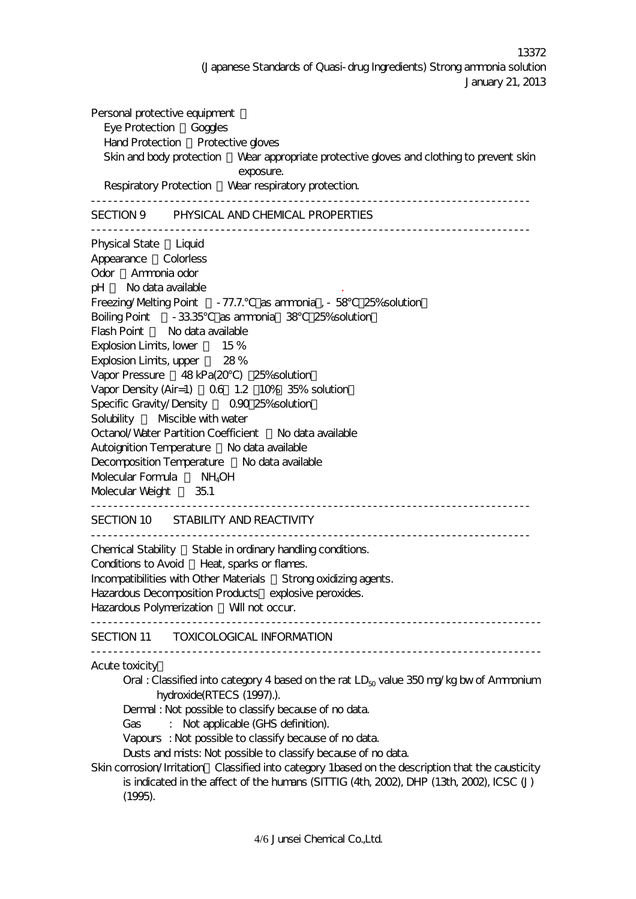13372 (Japanese Standards of Quasi-drug Ingredients) Strong ammonia solution January 21, 2013

Personal protective equipment Eye Protection Goggles Hand Protection Protective gloves Skin and body protection Wear appropriate protective gloves and clothing to prevent skin exposure. Respiratory Protection Wear respiratory protection. ------------------------------------------------------------------------------ SECTION 9 PHYSICAL AND CHEMICAL PROPERTIES ------------------------------------------------------------------------------ Physical State Liquid Appearance Colorless Odor Ammonia odor pH : No data available . Freezing/Melting Point - 77.7. as ammonia , - 58 25% solution Boiling Point - 33.35 as ammonia 38 25% solution Flash Point No data available Explosion Limits, lower 15% Explosion Limits, upper 28% Vapor Pressure 48 kPa(20) 25% solution Vapor Density (Air=1) 0.6 1.2 10% 35% solution Specific Gravity/Density 0.90 25% solution Solubility Miscible with water Octanol/Water Partition Coefficient : No data available Autoignition Temperature No data available Decomposition Temperature No data available Molecular Formula : NH<sub>4</sub>OH Molecular Weight : 35.1 ------------------------------------------------------------------------------ SECTION 10 STABILITY AND REACTIVITY ------------------------------------------------------------------------------ Chemical Stability : Stable in ordinary handling conditions. Conditions to Avoid Heat, sparks or flames. Incompatibilities with Other Materials : Strong oxidizing agents. Hazardous Decomposition Products explosive peroxides. Hazardous Polymerization Will not occur. -------------------------------------------------------------------------------- SECTION 11 TOXICOLOGICAL INFORMATION -------------------------------------------------------------------------------- Acute toxicity: Oral : Classified into category 4 based on the rat  $LD_{50}$  value 350 mg/kg bw of Ammonium hydroxide(RTECS (1997).). Dermal : Not possible to classify because of no data. Gas : Not applicable (GHS definition). Vapours : Not possible to classify because of no data. Dusts and mists: Not possible to classify because of no data. Skin corrosion/Irritation Classified into category 1based on the description that the causticity is indicated in the affect of the humans (SITTIG (4th, 2002), DHP (13th, 2002), ICSC (J)

(1995).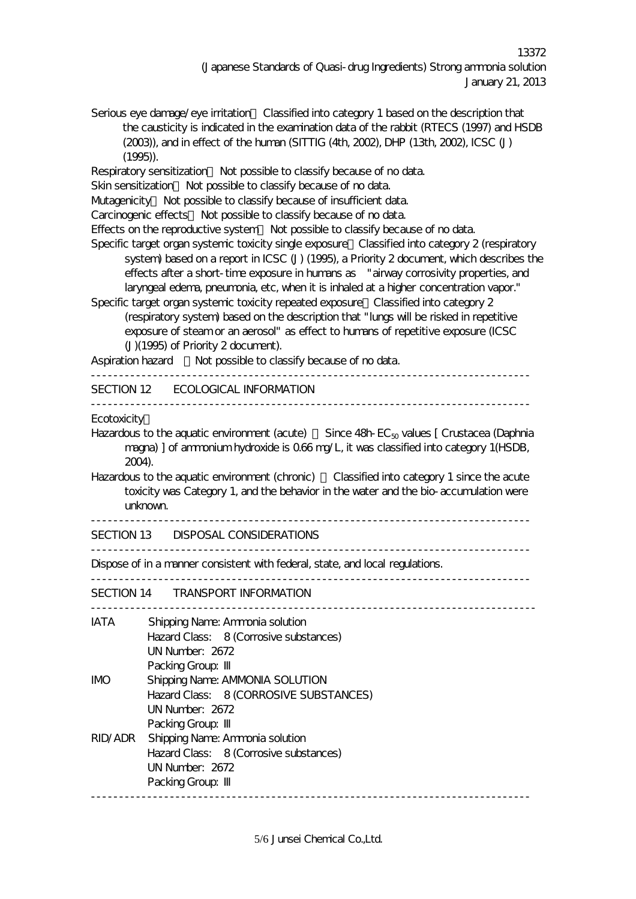Serious eye damage/eye irritation Classified into category 1 based on the description that the causticity is indicated in the examination data of the rabbit (RTECS (1997) and HSDB (2003)), and in effect of the human (SITTIG (4th, 2002), DHP (13th, 2002), ICSC (J) (1995)). Respiratory sensitization Not possible to classify because of no data. Skin sensitization Not possible to classify because of no data. Mutagenicity Not possible to classify because of insufficient data. Carcinogenic effects Not possible to classify because of no data. Effects on the reproductive system: Not possible to classify because of no data. Specific target organ systemic toxicity single exposure Classified into category 2 (respiratory system) based on a report in ICSC (J) (1995), a Priority 2 document, which describes the effects after a short-time exposure in humans as "airway corrosivity properties, and laryngeal edema, pneumonia, etc, when it is inhaled at a higher concentration vapor." Specific target organ systemic toxicity repeated exposure: Classified into category 2 (respiratory system) based on the description that "lungs will be risked in repetitive exposure of steam or an aerosol" as effect to humans of repetitive exposure (ICSC (J)(1995) of Priority 2 document). Aspiration hazard Not possible to classify because of no data. ------------------------------------------------------------------------------ SECTION 12 ECOLOGICAL INFORMATION ------------------------------------------------------------------------------ **Ecotoxicity** Hazardous to the aquatic environment (acute) Since  $48h$ -EC<sub>50</sub> values [ Crustacea (Daphnia magna) ] of ammonium hydroxide is 0.66 mg/L, it was classified into category 1(HSDB, 2004). Hazardous to the aquatic environment (chronic) Classified into category 1 since the acute toxicity was Category 1, and the behavior in the water and the bio-accumulation were unknown. ------------------------------------------------------------------------------ SECTION 13 DISPOSAL CONSIDERATIONS ------------------------------------------------------------------------------ Dispose of in a manner consistent with federal, state, and local regulations. ------------------------------------------------------------------------------ SECTION 14 TRANSPORT INFORMATION ------------------------------------------------------------------------------- IATA Shipping Name: Ammonia solution Hazard Class: 8 (Corrosive substances) UN Number: 2672 Packing Group: IMO Shipping Name: AMMONIA SOLUTION Hazard Class: 8 (CORROSIVE SUBSTANCES) UN Number: 2672 Packing Group: RID/ADR Shipping Name: Ammonia solution Hazard Class: 8 (Corrosive substances) UN Number: 2672 Packing Group:

------------------------------------------------------------------------------